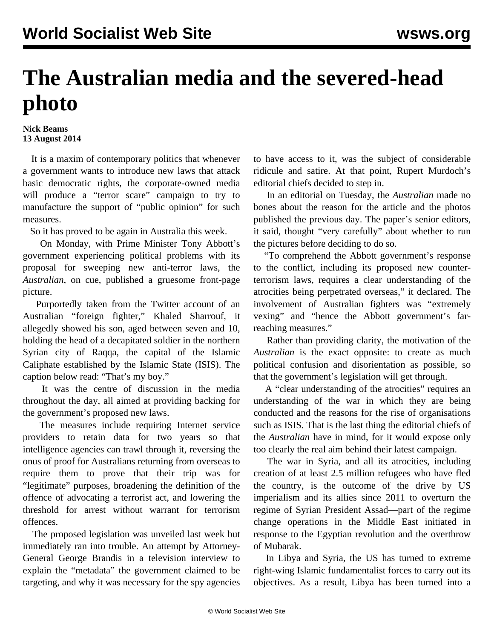## **The Australian media and the severed-head photo**

## **Nick Beams 13 August 2014**

 It is a maxim of contemporary politics that whenever a government wants to introduce new laws that attack basic democratic rights, the corporate-owned media will produce a "terror scare" campaign to try to manufacture the support of "public opinion" for such measures.

So it has proved to be again in Australia this week.

 On Monday, with Prime Minister Tony Abbott's government experiencing political problems with its proposal for sweeping new anti-terror laws, the *Australian*, on cue, published a gruesome front-page picture.

 Purportedly taken from the Twitter account of an Australian "foreign fighter," Khaled Sharrouf, it allegedly showed his son, aged between seven and 10, holding the head of a decapitated soldier in the northern Syrian city of Raqqa, the capital of the Islamic Caliphate established by the Islamic State (ISIS). The caption below read: "That's my boy."

 It was the centre of discussion in the media throughout the day, all aimed at providing backing for the government's proposed new laws.

 The measures include requiring Internet service providers to retain data for two years so that intelligence agencies can trawl through it, reversing the onus of proof for Australians returning from overseas to require them to prove that their trip was for "legitimate" purposes, broadening the definition of the offence of advocating a terrorist act, and lowering the threshold for arrest without warrant for terrorism offences.

 The proposed legislation was unveiled last week but immediately ran into trouble. An attempt by Attorney-General George Brandis in a television interview to explain the "metadata" the government claimed to be targeting, and why it was necessary for the spy agencies

to have access to it, was the subject of considerable ridicule and satire. At that point, Rupert Murdoch's editorial chiefs decided to step in.

 In an editorial on Tuesday, the *Australian* made no bones about the reason for the article and the photos published the previous day. The paper's senior editors, it said, thought "very carefully" about whether to run the pictures before deciding to do so.

 "To comprehend the Abbott government's response to the conflict, including its proposed new counterterrorism laws, requires a clear understanding of the atrocities being perpetrated overseas," it declared. The involvement of Australian fighters was "extremely vexing" and "hence the Abbott government's farreaching measures."

 Rather than providing clarity, the motivation of the *Australian* is the exact opposite: to create as much political confusion and disorientation as possible, so that the government's legislation will get through.

 A "clear understanding of the atrocities" requires an understanding of the war in which they are being conducted and the reasons for the rise of organisations such as ISIS. That is the last thing the editorial chiefs of the *Australian* have in mind, for it would expose only too clearly the real aim behind their latest campaign.

 The war in Syria, and all its atrocities, including creation of at least 2.5 million refugees who have fled the country, is the outcome of the drive by US imperialism and its allies since 2011 to overturn the regime of Syrian President Assad—part of the regime change operations in the Middle East initiated in response to the Egyptian revolution and the overthrow of Mubarak.

 In Libya and Syria, the US has turned to extreme right-wing Islamic fundamentalist forces to carry out its objectives. As a result, Libya has been turned into a